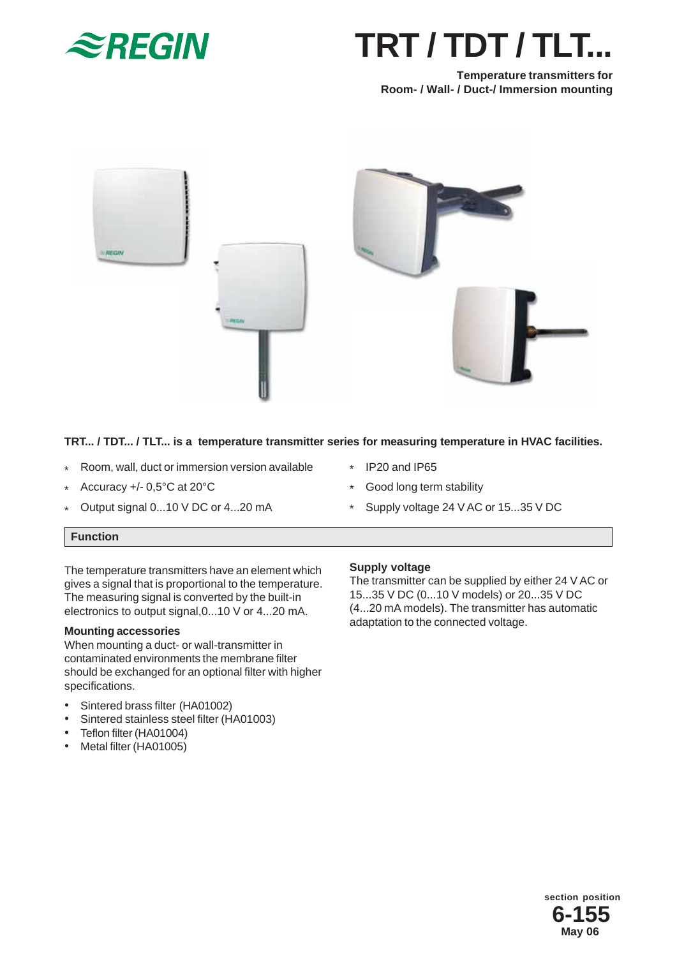

# **TRT / TDT / TLT...**

**Temperature transmitters for Room- / Wall- / Duct-/ Immersion mounting**



# **TRT... / TDT... / TLT... is a temperature transmitter series for measuring temperature in HVAC facilities.**

- Room, wall, duct or immersion version available \*
- Accuracy +/- 0,5°C at 20°C \*
- Output signal 0...10 V DC or 4...20 mA \*
- IP20 and IP65 \*
- Good long term stability \*
- Supply voltage 24 V AC or 15...35 V DC \*

# **Function**

The temperature transmitters have an element which gives a signal that is proportional to the temperature. The measuring signal is converted by the built-in electronics to output signal,0...10 V or 4...20 mA.

## **Mounting accessories**

When mounting a duct- or wall-transmitter in contaminated environments the membrane filter should be exchanged for an optional filter with higher specifications.

- Sintered brass filter (HA01002)
- Sintered stainless steel filter (HA01003)
- Teflon filter (HA01004)
- Metal filter (HA01005)

## **Supply voltage**

The transmitter can be supplied by either 24 V AC or 15...35 V DC (0...10 V models) or 20...35 V DC (4...20 mA models). The transmitter has automatic adaptation to the connected voltage.